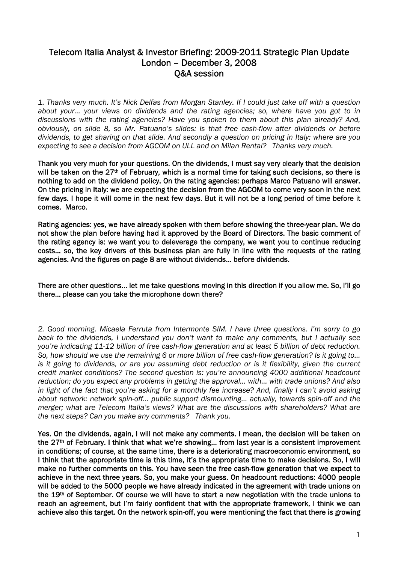# Telecom Italia Analyst & Investor Briefing: 2009-2011 Strategic Plan Update London – December 3, 2008 Q&A session

*1. Thanks very much. It's Nick Delfas from Morgan Stanley. If I could just take off with a question about your… your views on dividends and the rating agencies; so, where have you got to in discussions with the rating agencies? Have you spoken to them about this plan already? And, obviously, on slide 8, so Mr. Patuano's slides: is that free cash-flow after dividends or before dividends, to get sharing on that slide. And secondly a question on pricing in Italy: where are you expecting to see a decision from AGCOM on ULL and on Milan Rental? Thanks very much.* 

Thank you very much for your questions. On the dividends, I must say very clearly that the decision will be taken on the 27<sup>th</sup> of February, which is a normal time for taking such decisions, so there is nothing to add on the dividend policy. On the rating agencies: perhaps Marco Patuano will answer. On the pricing in Italy: we are expecting the decision from the AGCOM to come very soon in the next few days. I hope it will come in the next few days. But it will not be a long period of time before it comes. Marco.

Rating agencies: yes, we have already spoken with them before showing the three-year plan. We do not show the plan before having had it approved by the Board of Directors. The basic comment of the rating agency is: we want you to deleverage the company, we want you to continue reducing costs… so, the key drivers of this business plan are fully in line with the requests of the rating agencies. And the figures on page 8 are without dividends… before dividends.

### There are other questions… let me take questions moving in this direction if you allow me. So, I'll go there… please can you take the microphone down there?

*2. Good morning. Micaela Ferruta from Intermonte SIM. I have three questions. I'm sorry to go back to the dividends, I understand you don't want to make any comments, but I actually see you're indicating 11-12 billion of free cash-flow generation and at least 5 billion of debt reduction. So, how should we use the remaining 6 or more billion of free cash-flow generation? Is it going to…*  is it going to dividends, or are you assuming debt reduction or is it flexibility, given the current *credit market conditions? The second question is: you're announcing 4000 additional headcount reduction; do you expect any problems in getting the approval… with… with trade unions? And also in light of the fact that you're asking for a monthly fee increase? And, finally I can't avoid asking about network: network spin-off… public support dismounting… actually, towards spin-off and the merger; what are Telecom Italia's views? What are the discussions with shareholders? What are the next steps? Can you make any comments? Thank you.* 

Yes. On the dividends, again, I will not make any comments. I mean, the decision will be taken on the 27<sup>th</sup> of February. I think that what we're showing... from last year is a consistent improvement in conditions; of course, at the same time, there is a deteriorating macroeconomic environment, so I think that the appropriate time is this time, it's the appropriate time to make decisions. So, I will make no further comments on this. You have seen the free cash-flow generation that we expect to achieve in the next three years. So, you make your guess. On headcount reductions: 4000 people will be added to the 5000 people we have already indicated in the agreement with trade unions on the 19<sup>th</sup> of September. Of course we will have to start a new negotiation with the trade unions to reach an agreement, but I'm fairly confident that with the appropriate framework, I think we can achieve also this target. On the network spin-off, you were mentioning the fact that there is growing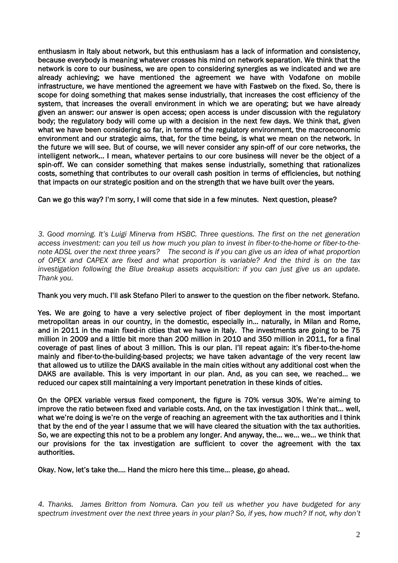enthusiasm in Italy about network, but this enthusiasm has a lack of information and consistency, because everybody is meaning whatever crosses his mind on network separation. We think that the network is core to our business, we are open to considering synergies as we indicated and we are already achieving; we have mentioned the agreement we have with Vodafone on mobile infrastructure, we have mentioned the agreement we have with Fastweb on the fixed. So, there is scope for doing something that makes sense industrially, that increases the cost efficiency of the system, that increases the overall environment in which we are operating; but we have already given an answer: our answer is open access; open access is under discussion with the regulatory body; the regulatory body will come up with a decision in the next few days. We think that, given what we have been considering so far, in terms of the regulatory environment, the macroeconomic environment and our strategic aims, that, for the time being, is what we mean on the network. In the future we will see. But of course, we will never consider any spin-off of our core networks, the intelligent network… I mean, whatever pertains to our core business will never be the object of a spin-off. We can consider something that makes sense industrially, something that rationalizes costs, something that contributes to our overall cash position in terms of efficiencies, but nothing that impacts on our strategic position and on the strength that we have built over the years.

### Can we go this way? I'm sorry, I will come that side in a few minutes. Next question, please?

*3. Good morning. It's Luigi Minerva from HSBC. Three questions. The first on the net generation access investment: can you tell us how much you plan to invest in fiber-to-the-home or fiber-to-thenote ADSL over the next three years? The second is if you can give us an idea of what proportion of OPEX and CAPEX are fixed and what proportion is variable? And the third is on the tax investigation following the Blue breakup assets acquisition: if you can just give us an update. Thank you.* 

### Thank you very much. I'll ask Stefano Pileri to answer to the question on the fiber network. Stefano.

Yes. We are going to have a very selective project of fiber deployment in the most important metropolitan areas in our country, in the domestic, especially in… naturally, in Milan and Rome, and in 2011 in the main fixed-in cities that we have in Italy. The investments are going to be 75 million in 2009 and a little bit more than 200 million in 2010 and 350 million in 2011, for a final coverage of past lines of about 3 million. This is our plan. I'll repeat again: it's fiber-to-the-home mainly and fiber-to-the-building-based projects; we have taken advantage of the very recent law that allowed us to utilize the DAKS available in the main cities without any additional cost when the DAKS are available. This is very important in our plan. And, as you can see, we reached… we reduced our capex still maintaining a very important penetration in these kinds of cities.

On the OPEX variable versus fixed component, the figure is 70% versus 30%. We're aiming to improve the ratio between fixed and variable costs. And, on the tax investigation I think that… well, what we're doing is we're on the verge of reaching an agreement with the tax authorities and I think that by the end of the year I assume that we will have cleared the situation with the tax authorities. So, we are expecting this not to be a problem any longer. And anyway, the… we… we… we think that our provisions for the tax investigation are sufficient to cover the agreement with the tax authorities.

Okay. Now, let's take the…. Hand the micro here this time… please, go ahead.

*4. Thanks. James Britton from Nomura. Can you tell us whether you have budgeted for any spectrum investment over the next three years in your plan? So, if yes, how much? If not, why don't*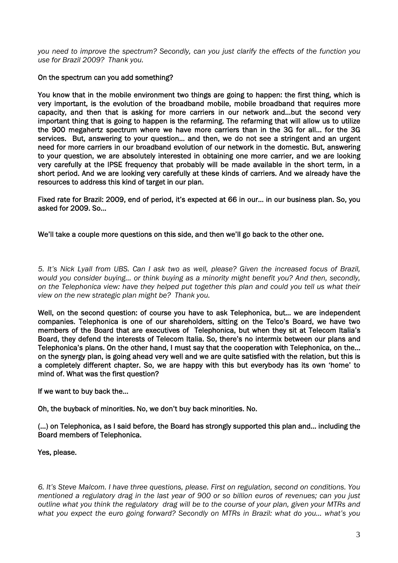*you need to improve the spectrum? Secondly, can you just clarify the effects of the function you use for Brazil 2009? Thank you.* 

### On the spectrum can you add something?

You know that in the mobile environment two things are going to happen: the first thing, which is very important, is the evolution of the broadband mobile, mobile broadband that requires more capacity, and then that is asking for more carriers in our network and…but the second very important thing that is going to happen is the refarming. The refarming that will allow us to utilize the 900 megahertz spectrum where we have more carriers than in the 3G for all… for the 3G services. But, answering to your question… and then, we do not see a stringent and an urgent need for more carriers in our broadband evolution of our network in the domestic. But, answering to your question, we are absolutely interested in obtaining one more carrier, and we are looking very carefully at the IPSE frequency that probably will be made available in the short term, in a short period. And we are looking very carefully at these kinds of carriers. And we already have the resources to address this kind of target in our plan.

Fixed rate for Brazil: 2009, end of period, it's expected at 66 in our… in our business plan. So, you asked for 2009. So…

We'll take a couple more questions on this side, and then we'll go back to the other one.

*5. It's Nick Lyall from UBS. Can I ask two as well, please? Given the increased focus of Brazil, would you consider buying… or think buying as a minority might benefit you? And then, secondly, on the Telephonica view: have they helped put together this plan and could you tell us what their view on the new strategic plan might be? Thank you.* 

Well, on the second question: of course you have to ask Telephonica, but... we are independent companies. Telephonica is one of our shareholders, sitting on the Telco's Board, we have two members of the Board that are executives of Telephonica, but when they sit at Telecom Italia's Board, they defend the interests of Telecom Italia. So, there's no intermix between our plans and Telephonica's plans. On the other hand, I must say that the cooperation with Telephonica, on the… on the synergy plan, is going ahead very well and we are quite satisfied with the relation, but this is a completely different chapter. So, we are happy with this but everybody has its own 'home' to mind of. What was the first question?

If we want to buy back the…

Oh, the buyback of minorities. No, we don't buy back minorities. No.

(…) on Telephonica, as I said before, the Board has strongly supported this plan and… including the Board members of Telephonica.

Yes, please.

*6. It's Steve Malcom. I have three questions, please. First on regulation, second on conditions. You mentioned a regulatory drag in the last year of 900 or so billion euros of revenues; can you just outline what you think the regulatory drag will be to the course of your plan, given your MTRs and what you expect the euro going forward? Secondly on MTRs in Brazil: what do you… what's you*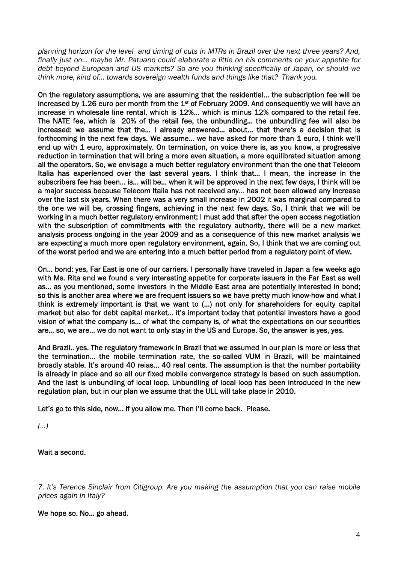*planning horizon for the level and timing of cuts in MTRs in Brazil over the next three years? And, finally just on… maybe Mr. Patuano could elaborate a little on his comments on your appetite for debt beyond European and US markets? So are you thinking specifically of Japan, or should we think more, kind of… towards sovereign wealth funds and things like that? Thank you.* 

On the regulatory assumptions, we are assuming that the residential… the subscription fee will be increased by 1.26 euro per month from the  $1<sup>st</sup>$  of February 2009. And consequently we will have an increase in wholesale line rental, which is 12%... which is minus 12% compared to the retail fee. The NATE fee, which is 20% of the retail fee, the unbundling… the unbundling fee will also be increased: we assume that the… I already answered… about… that there's a decision that is forthcoming in the next few days. We assume… we have asked for more than 1 euro, I think we'll end up with 1 euro, approximately. On termination, on voice there is, as you know, a progressive reduction in termination that will bring a more even situation, a more equilibrated situation among all the operators. So, we envisage a much better regulatory environment than the one that Telecom Italia has experienced over the last several years. I think that… I mean, the increase in the subscribers fee has been… is… will be… when it will be approved in the next few days, I think will be a major success because Telecom Italia has not received any… has not been allowed any increase over the last six years. When there was a very small increase in 2002 it was marginal compared to the one we will be, crossing fingers, achieving in the next few days. So, I think that we will be working in a much better regulatory environment; I must add that after the open access negotiation with the subscription of commitments with the regulatory authority, there will be a new market analysis process ongoing in the year 2009 and as a consequence of this new market analysis we are expecting a much more open regulatory environment, again. So, I think that we are coming out of the worst period and we are entering into a much better period from a regulatory point of view.

On… bond: yes, Far East is one of our carriers. I personally have traveled in Japan a few weeks ago with Ms. Rita and we found a very interesting appetite for corporate issuers in the Far East as well as… as you mentioned, some investors in the Middle East area are potentially interested in bond; so this is another area where we are frequent issuers so we have pretty much know-how and what I think is extremely important is that we want to (…) not only for shareholders for equity capital market but also for debt capital market… it's important today that potential investors have a good vision of what the company is… of what the company is, of what the expectations on our securities are… so, we are… we do not want to only stay in the US and Europe. So, the answer is yes, yes.

And Brazil.. yes. The regulatory framework in Brazil that we assumed in our plan is more or less that the termination… the mobile termination rate, the so-called VUM in Brazil, will be maintained broadly stable. It's around 40 reias… 40 real cents. The assumption is that the number portability is already in place and so all our fixed mobile convergence strategy is based on such assumption. And the last is unbundling of local loop. Unbundling of local loop has been introduced in the new regulation plan, but in our plan we assume that the ULL will take place in 2010.

Let's go to this side, now… if you allow me. Then I'll come back. Please.

*(…)* 

Wait a second.

*7. It's Terence Sinclair from Citigroup. Are you making the assumption that you can raise mobile prices again in Italy?* 

We hope so. No… go ahead.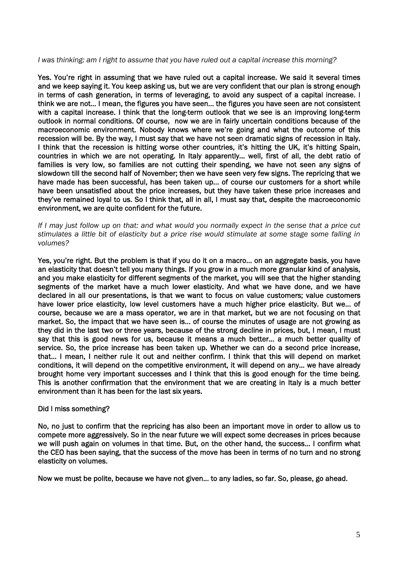### *I was thinking: am I right to assume that you have ruled out a capital increase this morning?*

Yes. You're right in assuming that we have ruled out a capital increase. We said it several times and we keep saying it. You keep asking us, but we are very confident that our plan is strong enough in terms of cash generation, in terms of leveraging, to avoid any suspect of a capital increase. I think we are not… I mean, the figures you have seen… the figures you have seen are not consistent with a capital increase. I think that the long-term outlook that we see is an improving long-term outlook in normal conditions. Of course, now we are in fairly uncertain conditions because of the macroeconomic environment. Nobody knows where we're going and what the outcome of this recession will be. By the way, I must say that we have not seen dramatic signs of recession in Italy. I think that the recession is hitting worse other countries, it's hitting the UK, it's hitting Spain, countries in which we are not operating. In Italy apparently… well, first of all, the debt ratio of families is very low, so families are not cutting their spending, we have not seen any signs of slowdown till the second half of November; then we have seen very few signs. The repricing that we have made has been successful, has been taken up… of course our customers for a short while have been unsatisfied about the price increases, but they have taken these price increases and they've remained loyal to us. So I think that, all in all, I must say that, despite the macroeconomic environment, we are quite confident for the future.

*If I may just follow up on that: and what would you normally expect in the sense that a price cut stimulates a little bit of elasticity but a price rise would stimulate at some stage some falling in volumes?* 

Yes, you're right. But the problem is that if you do it on a macro… on an aggregate basis, you have an elasticity that doesn't tell you many things. If you grow in a much more granular kind of analysis, and you make elasticity for different segments of the market, you will see that the higher standing segments of the market have a much lower elasticity. And what we have done, and we have declared in all our presentations, is that we want to focus on value customers; value customers have lower price elasticity, low level customers have a much higher price elasticity. But we… of course, because we are a mass operator, we are in that market, but we are not focusing on that market. So, the impact that we have seen is… of course the minutes of usage are not growing as they did in the last two or three years, because of the strong decline in prices, but, I mean, I must say that this is good news for us, because it means a much better… a much better quality of service. So, the price increase has been taken up. Whether we can do a second price increase, that… I mean, I neither rule it out and neither confirm. I think that this will depend on market conditions, it will depend on the competitive environment, it will depend on any… we have already brought home very important successes and I think that this is good enough for the time being. This is another confirmation that the environment that we are creating in Italy is a much better environment than it has been for the last six years.

### Did I miss something?

No, no just to confirm that the repricing has also been an important move in order to allow us to compete more aggressively. So in the near future we will expect some decreases in prices because we will push again on volumes in that time. But, on the other hand, the success… I confirm what the CEO has been saying, that the success of the move has been in terms of no turn and no strong elasticity on volumes.

Now we must be polite, because we have not given… to any ladies, so far. So, please, go ahead.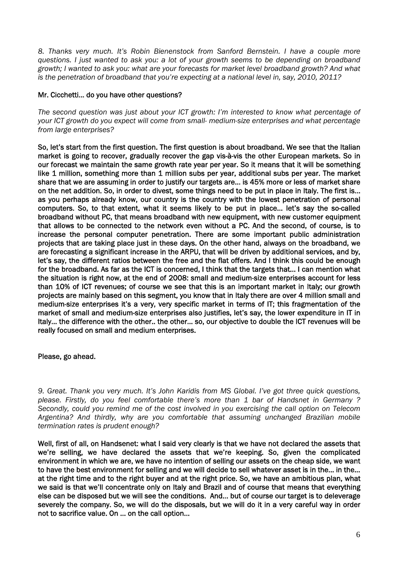*8. Thanks very much. It's Robin Bienenstock from Sanford Bernstein. I have a couple more questions. I just wanted to ask you: a lot of your growth seems to be depending on broadband growth; I wanted to ask you: what are your forecasts for market level broadband growth? And what is the penetration of broadband that you're expecting at a national level in, say, 2010, 2011?* 

## Mr. Cicchetti… do you have other questions?

*The second question was just about your ICT growth: I'm interested to know what percentage of your ICT growth do you expect will come from small- medium-size enterprises and what percentage from large enterprises?* 

So, let's start from the first question. The first question is about broadband. We see that the Italian market is going to recover, gradually recover the gap vis-à-vis the other European markets. So in our forecast we maintain the same growth rate year per year. So it means that it will be something like 1 million, something more than 1 million subs per year, additional subs per year. The market share that we are assuming in order to justify our targets are… is 45% more or less of market share on the net addition. So, in order to divest, some things need to be put in place in Italy. The first is… as you perhaps already know, our country is the country with the lowest penetration of personal computers. So, to that extent, what it seems likely to be put in place… let's say the so-called broadband without PC, that means broadband with new equipment, with new customer equipment that allows to be connected to the network even without a PC. And the second, of course, is to increase the personal computer penetration. There are some important public administration projects that are taking place just in these days. On the other hand, always on the broadband, we are forecasting a significant increase in the ARPU, that will be driven by additional services, and by, let's say, the different ratios between the free and the flat offers. And I think this could be enough for the broadband. As far as the ICT is concerned, I think that the targets that… I can mention what the situation is right now, at the end of 2008: small and medium-size enterprises account for less than 10% of ICT revenues; of course we see that this is an important market in Italy; our growth projects are mainly based on this segment, you know that in Italy there are over 4 million small and medium-size enterprises it's a very, very specific market in terms of IT; this fragmentation of the market of small and medium-size enterprises also justifies, let's say, the lower expenditure in IT in Italy… the difference with the other.. the other… so, our objective to double the ICT revenues will be really focused on small and medium enterprises.

# Please, go ahead.

*9. Great. Thank you very much. It's John Karidis from MS Global. I've got three quick questions, please. Firstly, do you feel comfortable there's more than 1 bar of Handsnet in Germany ? Secondly, could you remind me of the cost involved in you exercising the call option on Telecom Argentina? And thirdly, why are you comfortable that assuming unchanged Brazilian mobile termination rates is prudent enough?* 

Well, first of all, on Handsenet: what I said very clearly is that we have not declared the assets that we're selling, we have declared the assets that we're keeping. So, given the complicated environment in which we are, we have no intention of selling our assets on the cheap side, we want to have the best environment for selling and we will decide to sell whatever asset is in the… in the… at the right time and to the right buyer and at the right price. So, we have an ambitious plan, what we said is that we'll concentrate only on Italy and Brazil and of course that means that everything else can be disposed but we will see the conditions. And… but of course our target is to deleverage severely the company. So, we will do the disposals, but we will do it in a very careful way in order not to sacrifice value. On … on the call option…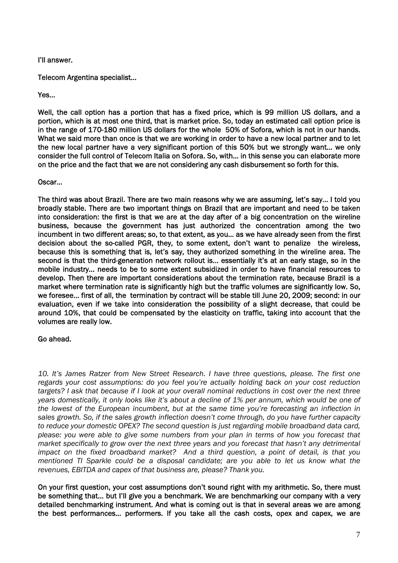I'll answer.

Telecom Argentina specialist…

Yes…

Well, the call option has a portion that has a fixed price, which is 99 million US dollars, and a portion, which is at most one third, that is market price. So, today an estimated call option price is in the range of 170-180 million US dollars for the whole 50% of Sofora, which is not in our hands. What we said more than once is that we are working in order to have a new local partner and to let the new local partner have a very significant portion of this 50% but we strongly want… we only consider the full control of Telecom Italia on Sofora. So, with… in this sense you can elaborate more on the price and the fact that we are not considering any cash disbursement so forth for this.

Oscar…

The third was about Brazil. There are two main reasons why we are assuming, let's say… I told you broadly stable. There are two important things on Brazil that are important and need to be taken into consideration: the first is that we are at the day after of a big concentration on the wireline business, because the government has just authorized the concentration among the two incumbent in two different areas; so, to that extent, as you… as we have already seen from the first decision about the so-called PGR, they, to some extent, don't want to penalize the wireless, because this is something that is, let's say, they authorized something in the wireline area. The second is that the third-generation network rollout is... essentially it's at an early stage, so in the mobile industry… needs to be to some extent subsidized in order to have financial resources to develop. Then there are important considerations about the termination rate, because Brazil is a market where termination rate is significantly high but the traffic volumes are significantly low. So, we foresee… first of all, the termination by contract will be stable till June 20, 2009; second: in our evaluation, even if we take into consideration the possibility of a slight decrease, that could be around 10%, that could be compensated by the elasticity on traffic, taking into account that the volumes are really low.

### Go ahead.

*10. It's James Ratzer from New Street Research. I have three questions, please. The first one regards your cost assumptions: do you feel you're actually holding back on your cost reduction targets? I ask that because if I look at your overall nominal reductions in cost over the next three years domestically, it only looks like it's about a decline of 1% per annum, which would be one of the lowest of the European incumbent, but at the same time you're forecasting an inflection in sales growth. So, if the sales growth inflection doesn't come through, do you have further capacity to reduce your domestic OPEX? The second question is just regarding mobile broadband data card, please: you were able to give some numbers from your plan in terms of how you forecast that market specifically to grow over the next three years and you forecast that hasn't any detrimental impact on the fixed broadband market? And a third question, a point of detail, is that you mentioned TI Sparkle could be a disposal candidate; are you able to let us know what the revenues, EBITDA and capex of that business are, please? Thank you.* 

On your first question, your cost assumptions don't sound right with my arithmetic. So, there must be something that… but I'll give you a benchmark. We are benchmarking our company with a very detailed benchmarking instrument. And what is coming out is that in several areas we are among the best performances… performers. If you take all the cash costs, opex and capex, we are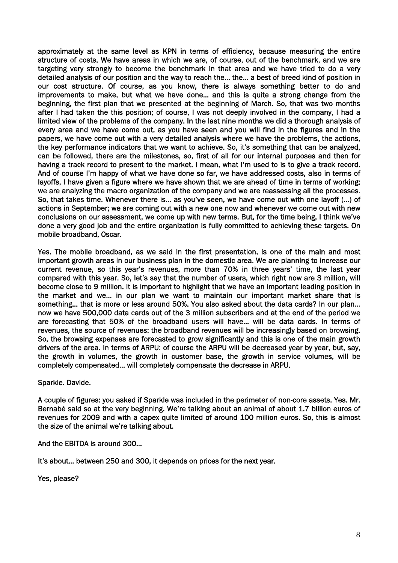approximately at the same level as KPN in terms of efficiency, because measuring the entire structure of costs. We have areas in which we are, of course, out of the benchmark, and we are targeting very strongly to become the benchmark in that area and we have tried to do a very detailed analysis of our position and the way to reach the… the… a best of breed kind of position in our cost structure. Of course, as you know, there is always something better to do and improvements to make, but what we have done… and this is quite a strong change from the beginning, the first plan that we presented at the beginning of March. So, that was two months after I had taken the this position; of course, I was not deeply involved in the company, I had a limited view of the problems of the company. In the last nine months we did a thorough analysis of every area and we have come out, as you have seen and you will find in the figures and in the papers, we have come out with a very detailed analysis where we have the problems, the actions, the key performance indicators that we want to achieve. So, it's something that can be analyzed, can be followed, there are the milestones, so, first of all for our internal purposes and then for having a track record to present to the market. I mean, what I'm used to is to give a track record. And of course I'm happy of what we have done so far, we have addressed costs, also in terms of layoffs, I have given a figure where we have shown that we are ahead of time in terms of working; we are analyzing the macro organization of the company and we are reassessing all the processes. So, that takes time. Whenever there is… as you've seen, we have come out with one layoff (…) of actions in September; we are coming out with a new one now and whenever we come out with new conclusions on our assessment, we come up with new terms. But, for the time being, I think we've done a very good job and the entire organization is fully committed to achieving these targets. On mobile broadband, Oscar.

Yes. The mobile broadband, as we said in the first presentation, is one of the main and most important growth areas in our business plan in the domestic area. We are planning to increase our current revenue, so this year's revenues, more than 70% in three years' time, the last year compared with this year. So, let's say that the number of users, which right now are 3 million, will become close to 9 million. It is important to highlight that we have an important leading position in the market and we… in our plan we want to maintain our important market share that is something… that is more or less around 50%. You also asked about the data cards? In our plan… now we have 500,000 data cards out of the 3 million subscribers and at the end of the period we are forecasting that 50% of the broadband users will have… will be data cards. In terms of revenues, the source of revenues: the broadband revenues will be increasingly based on browsing. So, the browsing expenses are forecasted to grow significantly and this is one of the main growth drivers of the area. In terms of ARPU: of course the ARPU will be decreased year by year, but, say, the growth in volumes, the growth in customer base, the growth in service volumes, will be completely compensated… will completely compensate the decrease in ARPU.

Sparkle. Davide.

A couple of figures: you asked if Sparkle was included in the perimeter of non-core assets. Yes. Mr. Bernabè said so at the very beginning. We're talking about an animal of about 1.7 billion euros of revenues for 2009 and with a capex quite limited of around 100 million euros. So, this is almost the size of the animal we're talking about.

And the EBITDA is around 300…

It's about… between 250 and 300, it depends on prices for the next year.

Yes, please?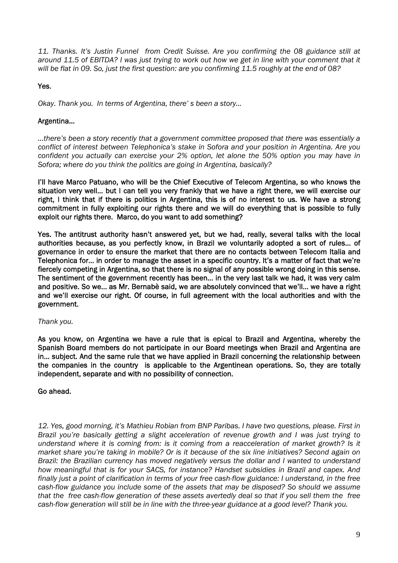*11. Thanks. It's Justin Funnel from Credit Suisse. Are you confirming the 08 guidance still at around 11.5 of EBITDA? I was just trying to work out how we get in line with your comment that it will be flat in 09. So, just the first question: are you confirming 11.5 roughly at the end of 08?* 

# Yes.

*Okay. Thank you. In terms of Argentina, there' s been a story…* 

# Argentina…

*…there's been a story recently that a government committee proposed that there was essentially a conflict of interest between Telephonica's stake in Sofora and your position in Argentina. Are you confident you actually can exercise your 2% option, let alone the 50% option you may have in Sofora; where do you think the politics are going in Argentina, basically?* 

I'll have Marco Patuano, who will be the Chief Executive of Telecom Argentina, so who knows the situation very well… but I can tell you very frankly that we have a right there, we will exercise our right, I think that if there is politics in Argentina, this is of no interest to us. We have a strong commitment in fully exploiting our rights there and we will do everything that is possible to fully exploit our rights there. Marco, do you want to add something?

Yes. The antitrust authority hasn't answered yet, but we had, really, several talks with the local authorities because, as you perfectly know, in Brazil we voluntarily adopted a sort of rules… of governance in order to ensure the market that there are no contacts between Telecom Italia and Telephonica for… in order to manage the asset in a specific country. It's a matter of fact that we're fiercely competing in Argentina, so that there is no signal of any possible wrong doing in this sense. The sentiment of the government recently has been… in the very last talk we had, it was very calm and positive. So we… as Mr. Bernabè said, we are absolutely convinced that we'll… we have a right and we'll exercise our right. Of course, in full agreement with the local authorities and with the government.

### *Thank you.*

As you know, on Argentina we have a rule that is epical to Brazil and Argentina, whereby the Spanish Board members do not participate in our Board meetings when Brazil and Argentina are in… subject. And the same rule that we have applied in Brazil concerning the relationship between the companies in the country is applicable to the Argentinean operations. So, they are totally independent, separate and with no possibility of connection.

### Go ahead.

*12. Yes, good morning, it's Mathieu Robian from BNP Paribas. I have two questions, please. First in Brazil you're basically getting a slight acceleration of revenue growth and I was just trying to understand where it is coming from: is it coming from a reacceleration of market growth? Is it market share you're taking in mobile? Or is it because of the six line initiatives? Second again on Brazil: the Brazilian currency has moved negatively versus the dollar and I wanted to understand how meaningful that is for your SACS, for instance? Handset subsidies in Brazil and capex. And finally just a point of clarification in terms of your free cash-flow guidance: I understand, in the free cash-flow guidance you include some of the assets that may be disposed? So should we assume that the free cash-flow generation of these assets avertedly deal so that if you sell them the free cash-flow generation will still be in line with the three-year guidance at a good level? Thank you.*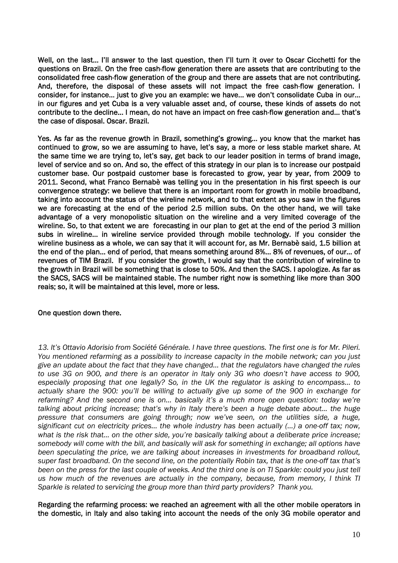Well, on the last… I'll answer to the last question, then I'll turn it over to Oscar Cicchetti for the questions on Brazil. On the free cash-flow generation there are assets that are contributing to the consolidated free cash-flow generation of the group and there are assets that are not contributing. And, therefore, the disposal of these assets will not impact the free cash-flow generation. I consider, for instance… just to give you an example: we have… we don't consolidate Cuba in our… in our figures and yet Cuba is a very valuable asset and, of course, these kinds of assets do not contribute to the decline… I mean, do not have an impact on free cash-flow generation and... that's the case of disposal. Oscar. Brazil.

Yes. As far as the revenue growth in Brazil, something's growing… you know that the market has continued to grow, so we are assuming to have, let's say, a more or less stable market share. At the same time we are trying to, let's say, get back to our leader position in terms of brand image, level of service and so on. And so, the effect of this strategy in our plan is to increase our postpaid customer base. Our postpaid customer base is forecasted to grow, year by year, from 2009 to 2011. Second, what Franco Bernabè was telling you in the presentation in his first speech is our convergence strategy: we believe that there is an important room for growth in mobile broadband, taking into account the status of the wireline network, and to that extent as you saw in the figures we are forecasting at the end of the period 2.5 million subs. On the other hand, we will take advantage of a very monopolistic situation on the wireline and a very limited coverage of the wireline. So, to that extent we are forecasting in our plan to get at the end of the period 3 million subs in wireline… in wireline service provided through mobile technology. If you consider the wireline business as a whole, we can say that it will account for, as Mr. Bernabè said, 1.5 billion at the end of the plan… end of period, that means something around 8%... 8% of revenues, of our… of revenues of TIM Brazil. If you consider the growth, I would say that the contribution of wireline to the growth in Brazil will be something that is close to 50%. And then the SACS. I apologize. As far as the SACS, SACS will be maintained stable. The number right now is something like more than 300 reais; so, it will be maintained at this level, more or less.

### One question down there.

*13. It's Ottavio Adorisio from Société Générale. I have three questions. The first one is for Mr. Pileri. You mentioned refarming as a possibility to increase capacity in the mobile network; can you just give an update about the fact that they have changed… that the regulators have changed the rules to use 3G on 900, and there is an operator in Italy only 3G who doesn't have access to 900, especially proposing that one legally? So, in the UK the regulator is asking to encompass… to actually share the 900: you'll be willing to actually give up some of the 900 in exchange for refarming? And the second one is on… basically it's a much more open question: today we're talking about pricing increase; that's why in Italy there's been a huge debate about… the huge pressure that consumers are going through; now we've seen, on the utilities side, a huge, significant cut on electricity prices… the whole industry has been actually (…) a one-off tax; now, what is the risk that… on the other side, you're basically talking about a deliberate price increase; somebody will come with the bill, and basically will ask for something in exchange; all options have been speculating the price, we are talking about increases in investments for broadband rollout, super fast broadband. On the second line, on the potentially Robin tax, that is the one-off tax that's been on the press for the last couple of weeks. And the third one is on TI Sparkle: could you just tell us how much of the revenues are actually in the company, because, from memory, I think TI Sparkle is related to servicing the group more than third party providers? Thank you.* 

Regarding the refarming process: we reached an agreement with all the other mobile operators in the domestic, in Italy and also taking into account the needs of the only 3G mobile operator and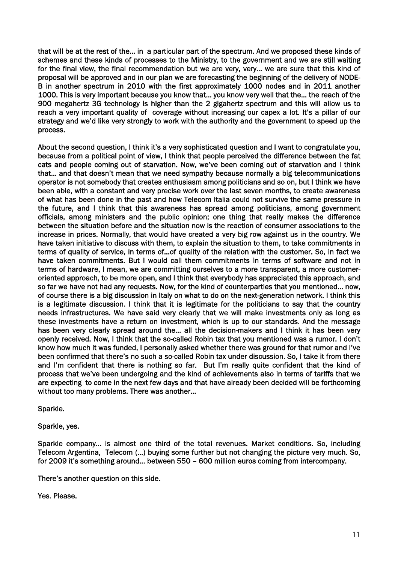that will be at the rest of the… in a particular part of the spectrum. And we proposed these kinds of schemes and these kinds of processes to the Ministry, to the government and we are still waiting for the final view, the final recommendation but we are very, very… we are sure that this kind of proposal will be approved and in our plan we are forecasting the beginning of the delivery of NODE-B in another spectrum in 2010 with the first approximately 1000 nodes and in 2011 another 1000. This is very important because you know that… you know very well that the… the reach of the 900 megahertz 3G technology is higher than the 2 gigahertz spectrum and this will allow us to reach a very important quality of coverage without increasing our capex a lot. It's a pillar of our strategy and we'd like very strongly to work with the authority and the government to speed up the process.

About the second question, I think it's a very sophisticated question and I want to congratulate you, because from a political point of view, I think that people perceived the difference between the fat cats and people coming out of starvation. Now, we've been coming out of starvation and I think that… and that doesn't mean that we need sympathy because normally a big telecommunications operator is not somebody that creates enthusiasm among politicians and so on, but I think we have been able, with a constant and very precise work over the last seven months, to create awareness of what has been done in the past and how Telecom Italia could not survive the same pressure in the future, and I think that this awareness has spread among politicians, among government officials, among ministers and the public opinion; one thing that really makes the difference between the situation before and the situation now is the reaction of consumer associations to the increase in prices. Normally, that would have created a very big row against us in the country. We have taken initiative to discuss with them, to explain the situation to them, to take commitments in terms of quality of service, in terms of…of quality of the relation with the customer. So, in fact we have taken commitments. But I would call them commitments in terms of software and not in terms of hardware, I mean, we are committing ourselves to a more transparent, a more customeroriented approach, to be more open, and I think that everybody has appreciated this approach, and so far we have not had any requests. Now, for the kind of counterparties that you mentioned… now, of course there is a big discussion in Italy on what to do on the next-generation network. I think this is a legitimate discussion. I think that it is legitimate for the politicians to say that the country needs infrastructures. We have said very clearly that we will make investments only as long as these investments have a return on investment, which is up to our standards. And the message has been very clearly spread around the… all the decision-makers and I think it has been very openly received. Now, I think that the so-called Robin tax that you mentioned was a rumor. I don't know how much it was funded, I personally asked whether there was ground for that rumor and I've been confirmed that there's no such a so-called Robin tax under discussion. So, I take it from there and I'm confident that there is nothing so far. But I'm really quite confident that the kind of process that we've been undergoing and the kind of achievements also in terms of tariffs that we are expecting to come in the next few days and that have already been decided will be forthcoming without too many problems. There was another…

Sparkle.

Sparkle, yes.

Sparkle company… is almost one third of the total revenues. Market conditions. So, including Telecom Argentina, Telecom (…) buying some further but not changing the picture very much. So, for 2009 it's something around… between 550 – 600 million euros coming from intercompany.

There's another question on this side.

Yes. Please.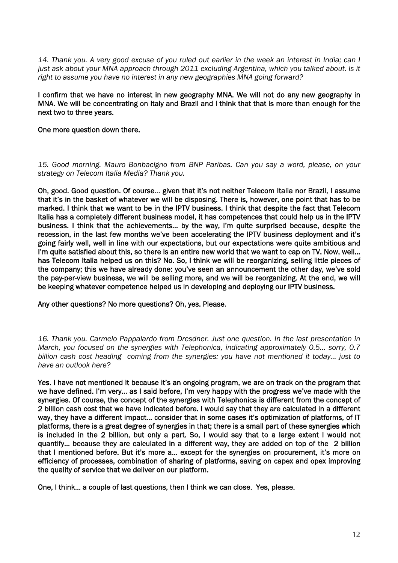*14. Thank you. A very good excuse of you ruled out earlier in the week an interest in India; can I*  just ask about your MNA approach through 2011 excluding Argentina, which you talked about. Is it *right to assume you have no interest in any new geographies MNA going forward?*

I confirm that we have no interest in new geography MNA. We will not do any new geography in MNA. We will be concentrating on Italy and Brazil and I think that that is more than enough for the next two to three years.

One more question down there.

*15. Good morning. Mauro Bonbacigno from BNP Paribas. Can you say a word, please, on your strategy on Telecom Italia Media? Thank you.* 

Oh, good. Good question. Of course… given that it's not neither Telecom Italia nor Brazil, I assume that it's in the basket of whatever we will be disposing. There is, however, one point that has to be marked. I think that we want to be in the IPTV business. I think that despite the fact that Telecom Italia has a completely different business model, it has competences that could help us in the IPTV business. I think that the achievements… by the way, I'm quite surprised because, despite the recession, in the last few months we've been accelerating the IPTV business deployment and it's going fairly well, well in line with our expectations, but our expectations were quite ambitious and I'm quite satisfied about this, so there is an entire new world that we want to cap on TV. Now, well… has Telecom Italia helped us on this? No. So, I think we will be reorganizing, selling little pieces of the company; this we have already done: you've seen an announcement the other day, we've sold the pay-per-view business, we will be selling more, and we will be reorganizing. At the end, we will be keeping whatever competence helped us in developing and deploying our IPTV business.

Any other questions? No more questions? Oh, yes. Please.

*16. Thank you. Carmelo Pappalardo from Dresdner. Just one question. In the last presentation in March, you focused on the synergies with Telephonica, indicating approximately 0.5… sorry, 0.7 billion cash cost heading coming from the synergies: you have not mentioned it today… just to have an outlook here?* 

Yes. I have not mentioned it because it's an ongoing program, we are on track on the program that we have defined. I'm very… as I said before, I'm very happy with the progress we've made with the synergies. Of course, the concept of the synergies with Telephonica is different from the concept of 2 billion cash cost that we have indicated before. I would say that they are calculated in a different way, they have a different impact… consider that in some cases it's optimization of platforms, of IT platforms, there is a great degree of synergies in that; there is a small part of these synergies which is included in the 2 billion, but only a part. So, I would say that to a large extent I would not quantify… because they are calculated in a different way, they are added on top of the 2 billion that I mentioned before. But it's more a… except for the synergies on procurement, it's more on efficiency of processes, combination of sharing of platforms, saving on capex and opex improving the quality of service that we deliver on our platform.

One, I think… a couple of last questions, then I think we can close. Yes, please.